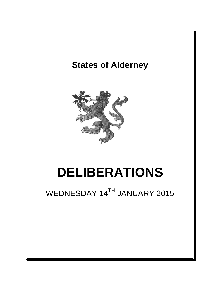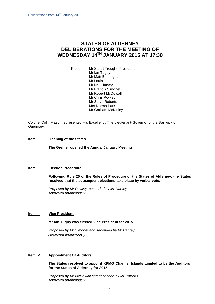# **STATES OF ALDERNEY DELIBERATIONS FOR THE MEETING OF WEDNESDAY 14 TH JANUARY 2015 AT 17:30**

Present: Mr Stuart Trought, President Mr Ian Tugby Mr Matt Birmingham Mr Louis Jean Mr Neil Harvey Mr Francis Simonet Mr Robert McDowall Mr Chris Rowley Mr Steve Roberts Mrs Norma Paris Mr Graham McKinley

Colonel Colin Mason represented His Excellency The Lieutenant-Governor of the Bailiwick of Guernsey.

# **Item l Opening of the States**.

**The Greffier opened the Annual January Meeting**

### **Item lI Election Procedure**

**Following Rule 20 of the Rules of Procedure of the States of Alderney, the States resolved that the subsequent elections take place by verbal vote.**

*Proposed by Mr Rowley, seconded by Mr Harvey Approved unanimously*

### **Item III Vice President**

**Mr Ian Tugby was elected Vice President for 2015.**

*Proposed by Mr Simonet and seconded by Mr Harvey Approved unanimously*

### **Item IV Appointment Of Auditors**

**The States resolved to appoint KPMG Channel Islands Limited to be the Auditors for the States of Alderney for 2015.**

*Proposed by Mr McDowall and seconded by Mr Roberts Approved unanimously*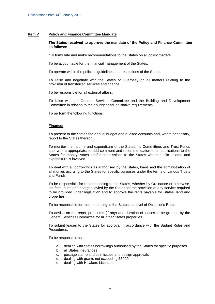# **Item V Policy and Finance Committee Mandate**

### **The States resolved to approve the mandate of the Policy and Finance Committee as follows:-**

"To formulate and make recommendations to the States on all policy matters.

To be accountable for the financial management of the States.

To operate within the policies, guidelines and resolutions of the States.

To liaise and negotiate with the States of Guernsey on all matters relating to the provision of transferred services and finance.

To be responsible for all external affairs.

To liaise with the General Services Committee and the Building and Development Committee in relation to their budget and legislative requirements.

To perform the following functions:

#### **Finance:**

To present to the States the annual budget and audited accounts and, where necessary, report to the States thereon.

To monitor the income and expenditure of the States, its Committees and Trust Funds and, where appropriate, to add comment and recommendation to all applications to the States for money, votes and/or submissions to the States where public income and expenditure is involved.

To deal with all borrowings as authorised by the States, loans and the administration of all monies accruing to the States for specific purposes under the terms of various Trusts and Funds.

To be responsible for recommending to the States, whether by Ordinance or otherwise, the fees, dues and charges levied by the States for the provision of any service required to be provided under legislation and to approve the rents payable for States' land and properties.

To be responsible for recommending to the States the level of Occupier's Rates.

To advise on the rents, premiums (if any) and duration of leases to be granted by the General Services Committee for all other States properties.

To submit leases to the States for approval in accordance with the Budget Rules and Procedures.

To be responsible for:-.

- a. dealing with States borrowings authorised by the States for specific purposes
- b. all States insurances
- c. postage stamp and coin issues and design approvals
- d. dealing with grants not exceeding £5000
- e. dealing with Hawkers Licences.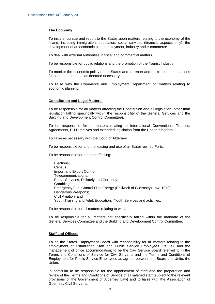# **The Economy:**

To initiate, pursue and report to the States upon matters relating to the economy of the Island, including immigration, population, social services (financial aspects only), the development of an economic plan, employment, industry and e-commerce.

To deal with external authorities in fiscal and commercial matters.

To be responsible for public relations and the promotion of the Tourist Industry.

To monitor the economic policy of the States and to report and make recommendations for such amendments as deemed necessary.

To liaise with the Commerce and Employment Department on matters relating to economic planning.

### **Constitution and Legal Matters:**

To be responsible for all matters affecting the Constitution and all legislation (other than legislation falling specifically within the responsibility of the General Services and the Building and Development Control Committee).

To be responsible for all matters relating to International Conventions, Treaties, Agreements, EU Directives and extended legislation from the United Kingdom.

To liaise as necessary with the Court of Alderney.

To be responsible for and the leasing and use of all States-owned Forts.

To be responsible for matters affecting:-

Elections; Census; Import and Export Control; Telecommunications; Postal Services, Philately and Currency; Gambling; Emergency Fuel Control (The Energy (Bailiwick of Guernsey) Law, 1978); Dangerous Weapons; Civil Aviation; and Youth Training and Adult Education. Youth Services and activities.

To be responsible for all matters relating to welfare.

To be responsible for all matters not specifically falling within the mandate of the General Services Committee and the Building and Development Control Committee.

### **Staff and Offices:**

To be the States Employment Board with responsibility for all matters relating to the employment of Established Staff and Public Service Employees (PSE's); and the management of office accommodation; to be the Civil Service Board referred to in the Terms and Conditions of Service for Civil Servants and the Terms and Conditions of Employment for Public Service Employees as agreed between the Board and Unite, the Union.

In particular to be responsible for the appointment of staff and the preparation and review of the Terms and Conditions of Service of all salaried staff (subject to the relevant provisions of the Government of Alderney Law) and to liaise with the Association of Guernsey Civil Servants.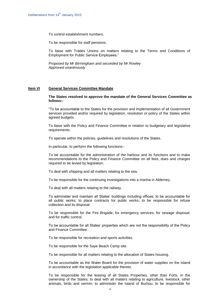To control establishment numbers.

To be responsible for staff pensions.

To liaise with Trades Unions on matters relating to the Terms and Conditions of Employment for Public Service Employees."

*Proposed by Mr Birmingham and seconded by Mr Rowley Approved unanimously*

#### **Item VI General Services Committee Mandate**

#### **The States resolved to approve the mandate of the General Services Committee as follows:-**

"To be accountable to the States for the provision and implementation of all Government services provided and/or required by legislation, resolution or policy of the States within agreed budgets.

To liaise with the Policy and Finance Committee in relation to budgetary and legislative requirements.

To operate within the policies, guidelines and resolutions of the States.

In particular, to perform the following functions:-

To be accountable for the administration of the harbour and its functions and to make recommendations to the Policy and Finance Committee on all fees, dues and charges required to be levied by legislation.

To deal with shipping and all matters relating to the sea.

To be responsible for the continuing investigations into a marina in Alderney.

To deal with all matters relating to the railway.

To administer and maintain all States' buildings including offices; to be accountable for all public works; to place contracts for public works; to be responsible for refuse collection and its disposal.

To be responsible for the Fire Brigade; for emergency services; for sewage disposal; and for traffic control.

To be accountable for all States' properties which are not the responsibility of the Policy and Finance Committee.

To be responsible for recreation and sports activities.

To be responsible for the Saye Beach Camp site.

To be responsible for all matters relating to the allocation of States housing.

To be accountable as the Water Board for the provision of water supplies on the Island in accordance with the legislation applicable thereto.

To be responsible for the leasing of all States Properties, other than Forts, in the ownership of the States; to deal with all matters relating to agriculture, livestock, other animals, birds and vermin; to administer the Island of Burhou; to be responsible for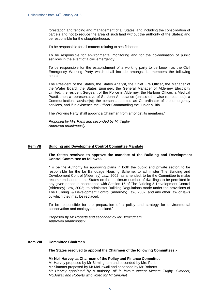forestation and fencing and management of all States land including the consolidation of parcels and not to reduce the area of such land without the authority of the States; and be responsible for the slaughterhouse.

To be responsible for all matters relating to sea fisheries.

To be responsible for environmental monitoring and for the co-ordination of public services in the event of a civil emergency.

To be responsible for the establishment of a working party to be known as the Civil Emergency Working Party which shall include amongst its members the following people:-

The President of the States, the States Analyst, the Chief Fire Officer, the Manager of the Water Board, the States Engineer, the General Manager of Alderney Electricity Limited, the resident Sergeant of the Police in Alderney, the Harbour Officer, a Medical Practitioner; a representative of St. John Ambulance (unless otherwise represented); a Communications adviser(s); the person appointed as Co-ordinator of the emergency services, and if in existence the Officer Commanding the Junior Militia.

The Working Party shall appoint a Chairman from amongst its members."

*Proposed by Mrs Paris and seconded by Mr Tugby Approved unanimously*

### **Item VII Building and Development Control Committee Mandate**

**The States resolved to approve the mandate of the Building and Development Control Committee as follows:-**

"To be the Authority for approving plans in both the public and private sector; to be responsible for the Le Banquage Housing Scheme; to administer The Building and Development Control (Alderney) Law, 2002, as amended; to be the Committee to make recommendations to the States on the maximum number of dwellings to be permitted in any given period in accordance with Section 15 of The Building & Development Control (Alderney) Law, 2002; to administer Building Regulations made under the provisions of The Building & Development Control (Alderney) Law, 2002, and any other law or laws by which they may be replaced.

To be responsible for the preparation of a policy and strategy for environmental conservation and ecology on the Island."

*Proposed by Mr Roberts and seconded by Mr Birmingham Approved unanimously*

### **Item VIII Committee Chairmen**

**The States resolved to appoint the Chairmen of the following Committees:-**

**Mr Neil Harvey as Chairman of the Policy and Finance Committee** Mr Harvey proposed by Mr Birmingham and seconded by Mrs Paris Mr Simonet proposed by Mr McDowall and seconded by Mr Roberts *Mr Harvey appointed by a majority, all in favour except Messrs Tugby, Simonet, McDowall and Roberts who voted for Mr Simonet*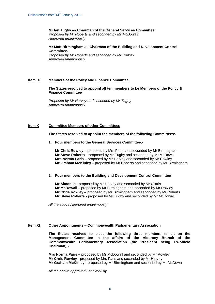# **Mr Ian Tugby as Chairman of the General Services Committee**

*Proposed by Mr Roberts and seconded by Mr McDowall Approved unanimously*

#### **Mr Matt Birmingham as Chairman of the Building and Development Control Committee.**

*Proposed by Mr Roberts and seconded by Mr Rowley Approved unanimously*

### **Item IX Members of the Policy and Finance Committee**

**The States resolved to appoint all ten members to be Members of the Policy & Finance Committee**

*Proposed by Mr Harvey and seconded by Mr Tugby Approved unanimously*

# **Item X Committee Members of other Committees**

**The States resolved to appoint the members of the following Committees:-**

**1. Four members to the General Services Committee:-**

**Mr Chris Rowley –** proposed by Mrs Paris and seconded by Mr Birmingham **Mr Steve Roberts** – proposed by Mr Tugby and seconded by Mr McDowall **Mrs Norma Paris –** proposed by Mr Harvey and seconded by Mr Rowley **Mr Graham McKinley –** proposed by Mr Roberts and seconded by Mr Birmingham

### **2. Four members to the Building and Development Control Committee**

**Mr Simonet –** proposed by Mr Harvey and seconded by Mrs Paris **Mr McDowall –** proposed by Mr Birmingham and seconded by Mr Rowley **Mr Chris Rowley –** proposed by Mr Birmingham and seconded by Mr Roberts **Mr Steve Roberts -** proposed by Mr Tugby and seconded by Mr McDowall

*All the above Approved unanimously*

#### **Item XI Other Appointments – Commonwealth Parliamentary Association**

**The States resolved to elect the following three members to sit on the Management Committee in the affairs of the Alderney Branch of the Commonwealth Parliamentary Association (the President being Ex-officio Chairman):-**

**Mrs Norma Paris –** proposed by Mr McDowall and seconded by Mr Rowley **Mr Chris Rowley -** proposed by Mrs Paris and seconded by Mr Harvey **Mr Graham McKinley -** proposed by Mr Birmingham and seconded by Mr McDowall

*All the above approved unanimously*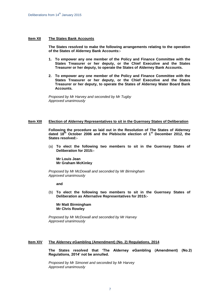#### **Item XII The States Bank Accounts**

**The States resolved to make the following arrangements relating to the operation of the States of Alderney Bank Accounts:-**

- **1. To empower any one member of the Policy and Finance Committee with the States Treasurer or her deputy, or the Chief Executive and the States Treasurer or her deputy, to operate the States of Alderney Bank Accounts.**
- **2. To empower any one member of the Policy and Finance Committee with the States Treasurer or her deputy, or the Chief Executive and the States Treasurer or her deputy, to operate the States of Alderney Water Board Bank Accounts.**

*Proposed by Mr Harvey and seconded by Mr Tugby Approved unanimously*

# **Item XIII Election of Alderney Representatives to sit in the Guernsey States of Deliberation**

**Following the procedure as laid out in the Resolution of The States of Alderney dated 18th October 2006 and the Plebiscite election of 1st December 2012, the States resolved:-**

(a) **To elect the following two members to sit in the Guernsey States of Deliberation for 2015:-**

**Mr Louis Jean Mr Graham McKinley**

*Proposed by Mr McDowall and seconded by Mr Birmingham Approved unanimously*

**and**

(b) **To elect the following two members to sit in the Guernsey States of Deliberation as Alternative Representatives for 2015:-**

**Mr Matt Birmingham Mr Chris Rowley**

*Proposed by Mr McDowall and seconded by Mr Harvey Approved unanimously*

# **Item XIV The Alderney eGambling (Amendment) (No. 2) Regulations, 2014**

**The States resolved that 'The Alderney eGambling (Amendment) (No.2) Regulations, 2014' not be annulled.**

*Proposed by Mr Simonet and seconded by Mr Harvey Approved unanimously*